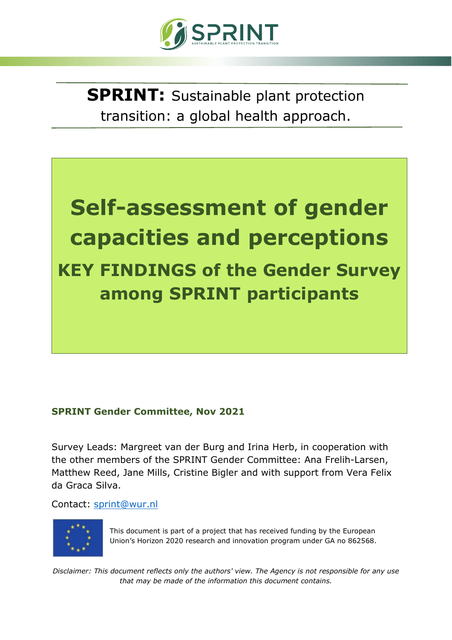

**SPRINT:** Sustainable plant protection transition: a global health approach.



### **SPRINT Gender Committee, Nov 2021**

Survey Leads: Margreet van der Burg and Irina Herb, in cooperation with the other members of the SPRINT Gender Committee: Ana Frelih-Larsen, Matthew Reed, Jane Mills, Cristine Bigler and with support from Vera Felix da Graca Silva.

Contact: [sprint@wur.nl](mailto:sprint@wur.nl)



This document is part of a project that has received funding by the European Union's Horizon 2020 research and innovation program under GA no 862568.

*Disclaimer: This document reflects only the authors' view. The Agency is not responsible for any use that may be made of the information this document contains.*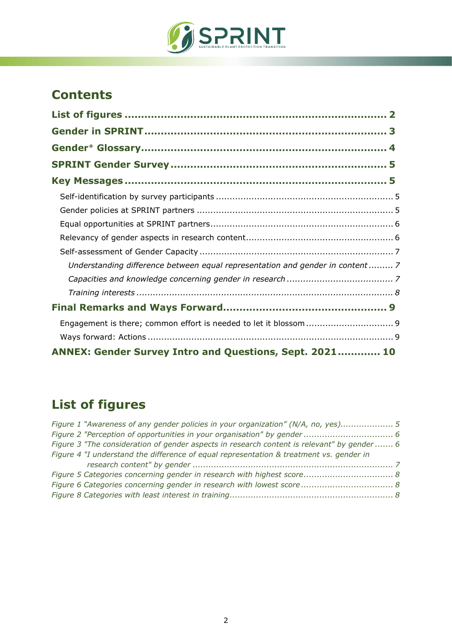

## **Contents**

| Understanding difference between equal representation and gender in content7 |  |
|------------------------------------------------------------------------------|--|
|                                                                              |  |
|                                                                              |  |
|                                                                              |  |
|                                                                              |  |
|                                                                              |  |
| ANNEX: Gender Survey Intro and Questions, Sept. 2021 10                      |  |

# <span id="page-1-0"></span>**List of figures**

| Figure 1 "Awareness of any gender policies in your organization" (N/A, no, yes) 5           |  |
|---------------------------------------------------------------------------------------------|--|
|                                                                                             |  |
| Figure 3 "The consideration of gender aspects in research content is relevant" by gender  6 |  |
| Figure 4 "I understand the difference of equal representation & treatment vs. gender in     |  |
|                                                                                             |  |
|                                                                                             |  |
|                                                                                             |  |
|                                                                                             |  |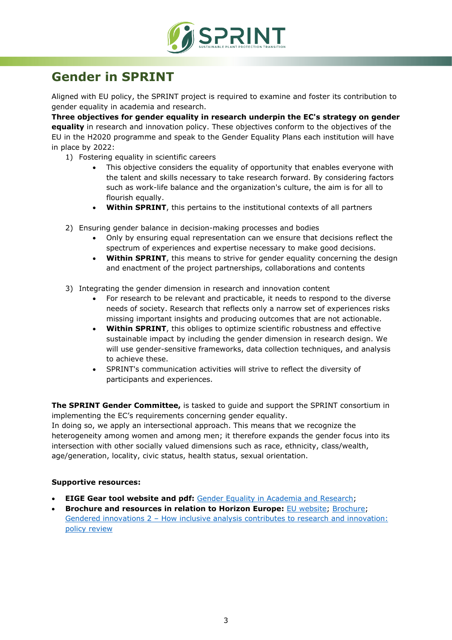

# <span id="page-2-0"></span>**Gender in SPRINT**

Aligned with EU policy, the SPRINT project is required to examine and foster its contribution to gender equality in academia and research.

**Three objectives for gender equality in research underpin the EC's strategy on gender equality** in research and innovation policy. These objectives conform to the objectives of the EU in the H2020 programme and speak to the Gender Equality Plans each institution will have in place by 2022:

- 1) Fostering equality in scientific careers
	- This objective considers the equality of opportunity that enables everyone with the talent and skills necessary to take research forward. By considering factors such as work-life balance and the organization's culture, the aim is for all to flourish equally.
	- **Within SPRINT**, this pertains to the institutional contexts of all partners
- 2) Ensuring gender balance in decision-making processes and bodies
	- Only by ensuring equal representation can we ensure that decisions reflect the spectrum of experiences and expertise necessary to make good decisions.
	- **Within SPRINT**, this means to strive for gender equality concerning the design and enactment of the project partnerships, collaborations and contents
- 3) Integrating the gender dimension in research and innovation content
	- For research to be relevant and practicable, it needs to respond to the diverse needs of society. Research that reflects only a narrow set of experiences risks missing important insights and producing outcomes that are not actionable.
	- **Within SPRINT**, this obliges to optimize scientific robustness and effective sustainable impact by including the gender dimension in research design. We will use gender-sensitive frameworks, data collection techniques, and analysis to achieve these.
	- SPRINT's communication activities will strive to reflect the diversity of participants and experiences.

**The SPRINT Gender Committee,** is tasked to guide and support the SPRINT consortium in implementing the EC's requirements concerning gender equality.

In doing so, we apply an intersectional approach. This means that we recognize the heterogeneity among women and among men; it therefore expands the gender focus into its intersection with other socially valued dimensions such as race, ethnicity, class/wealth, age/generation, locality, civic status, health status, sexual orientation.

#### **Supportive resources:**

- **EIGE Gear tool website and pdf:** [Gender Equality in Academia and Research;](http://eige.europa.eu/gender-mainstreaming/toolkits/gear/objectives-gender-equality-research)
- **Brochure and resources in relation to Horizon Europe:** [EU website;](https://ec.europa.eu/info/research-and-innovation/strategy/gender-equality-research-and-innovation_en) [Brochure;](https://op.europa.eu/en/web/eu-law-and-publications/publication-detail/-/publication/c0b30b4b-6ce2-11eb-aeb5-01aa75ed71a1) Gendered innovations 2 – [How inclusive analysis contributes to research and innovation:](https://op.europa.eu/en/publication-detail/-/publication/33b4c99f-2e66-11eb-b27b-01aa75ed71a1/language-en)  [policy review](https://op.europa.eu/en/publication-detail/-/publication/33b4c99f-2e66-11eb-b27b-01aa75ed71a1/language-en)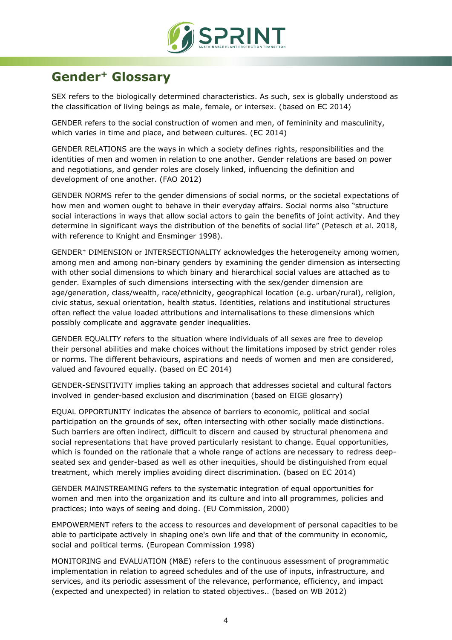

# <span id="page-3-0"></span>**Gender+ Glossary**

SEX refers to the biologically determined characteristics. As such, sex is globally understood as the classification of living beings as male, female, or intersex. (based on EC 2014)

GENDER refers to the social construction of women and men, of femininity and masculinity, which varies in time and place, and between cultures. (EC 2014)

GENDER RELATIONS are the ways in which a society defines rights, responsibilities and the identities of men and women in relation to one another. Gender relations are based on power and negotiations, and gender roles are closely linked, influencing the definition and development of one another. (FAO 2012)

GENDER NORMS refer to the gender dimensions of social norms, or the societal expectations of how men and women ought to behave in their everyday affairs. Social norms also "structure social interactions in ways that allow social actors to gain the benefits of joint activity. And they determine in significant ways the distribution of the benefits of social life" (Petesch et al. 2018, with reference to Knight and Ensminger 1998).

GENDER+ DIMENSION or INTERSECTIONALITY acknowledges the heterogeneity among women, among men and among non-binary genders by examining the gender dimension as intersecting with other social dimensions to which binary and hierarchical social values are attached as to gender. Examples of such dimensions intersecting with the sex/gender dimension are age/generation, class/wealth, race/ethnicity, geographical location (e.g. urban/rural), religion, civic status, sexual orientation, health status. Identities, relations and institutional structures often reflect the value loaded attributions and internalisations to these dimensions which possibly complicate and aggravate gender inequalities.

GENDER EQUALITY refers to the situation where individuals of all sexes are free to develop their personal abilities and make choices without the limitations imposed by strict gender roles or norms. The different behaviours, aspirations and needs of women and men are considered, valued and favoured equally. (based on EC 2014)

GENDER-SENSITIVITY implies taking an approach that addresses societal and cultural factors involved in gender-based exclusion and discrimination (based on EIGE glosarry)

EQUAL OPPORTUNITY indicates the absence of barriers to economic, political and social participation on the grounds of sex, often intersecting with other socially made distinctions. Such barriers are often indirect, difficult to discern and caused by structural phenomena and social representations that have proved particularly resistant to change. Equal opportunities, which is founded on the rationale that a whole range of actions are necessary to redress deepseated sex and gender-based as well as other inequities, should be distinguished from equal treatment, which merely implies avoiding direct discrimination. (based on EC 2014)

GENDER MAINSTREAMING refers to the systematic integration of equal opportunities for women and men into the organization and its culture and into all programmes, policies and practices; into ways of seeing and doing. (EU Commission, 2000)

EMPOWERMENT refers to the access to resources and development of personal capacities to be able to participate actively in shaping one's own life and that of the community in economic, social and political terms. (European Commission 1998)

MONITORING and EVALUATION (M&E) refers to the continuous assessment of programmatic implementation in relation to agreed schedules and of the use of inputs, infrastructure, and services, and its periodic assessment of the relevance, performance, efficiency, and impact (expected and unexpected) in relation to stated objectives.. (based on WB 2012)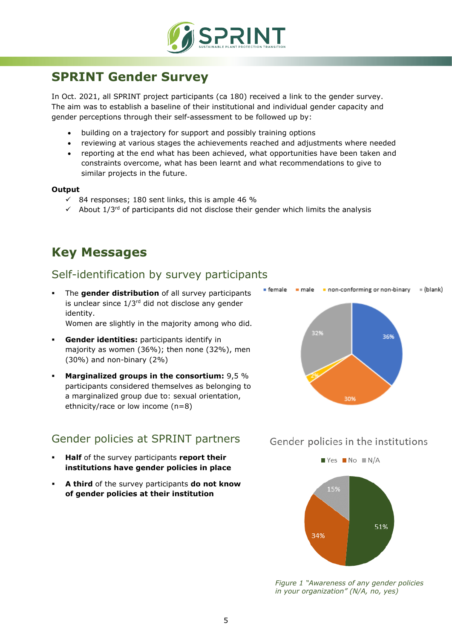

## <span id="page-4-0"></span>**SPRINT Gender Survey**

In Oct. 2021, all SPRINT project participants (ca 180) received a link to the gender survey. The aim was to establish a baseline of their institutional and individual gender capacity and gender perceptions through their self-assessment to be followed up by:

- building on a trajectory for support and possibly training options
- reviewing at various stages the achievements reached and adjustments where needed
- reporting at the end what has been achieved, what opportunities have been taken and constraints overcome, what has been learnt and what recommendations to give to similar projects in the future.

#### **Output**

- $\checkmark$  84 responses; 180 sent links, this is ample 46 %
- $\checkmark$  About 1/3<sup>rd</sup> of participants did not disclose their gender which limits the analysis

## <span id="page-4-1"></span>**Key Messages**

### <span id="page-4-2"></span>Self-identification by survey participants

 The **gender distribution** of all survey participants is unclear since  $1/3^{rd}$  did not disclose any gender identity.

Women are slightly in the majority among who did.

- **Gender identities:** participants identify in majority as women (36%); then none (32%), men (30%) and non-binary (2%)
- **Marginalized groups in the consortium:** 9,5 % participants considered themselves as belonging to a marginalized group due to: sexual orientation, ethnicity/race or low income (n=8)

## <span id="page-4-3"></span>Gender policies at SPRINT partners

- **Half** of the survey participants **report their institutions have gender policies in place**
- **A third** of the survey participants **do not know of gender policies at their institution**



### Gender policies in the institutions



*Figure 1 "Awareness of any gender policies in your organization" (N/A, no, yes)*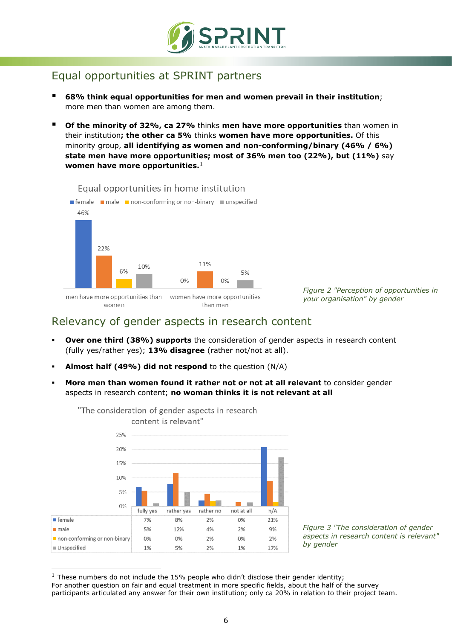

## <span id="page-5-0"></span>Equal opportunities at SPRINT partners

- **68% think equal opportunities for men and women prevail in their institution**; more men than women are among them.
- **Of the minority of 32%, ca 27%** thinks **men have more opportunities** than women in their institution**; the other ca 5%** thinks **women have more opportunities.** Of this minority group, **all identifying as women and non-conforming/binary (46% / 6%) state men have more opportunities; most of 36% men too (22%), but (11%)** say **women have more opportunities.**[1](#page-5-2)



*Figure 2 "Perception of opportunities in your organisation" by gender*

### <span id="page-5-1"></span>Relevancy of gender aspects in research content

- **Over one third (38%) supports** the consideration of gender aspects in research content (fully yes/rather yes); **13% disagree** (rather not/not at all).
- **Almost half (49%) did not respond** to the question (N/A)
- **More men than women found it rather not or not at all relevant** to consider gender aspects in research content; **no woman thinks it is not relevant at all**



*Figure 3 "The consideration of gender aspects in research content is relevant" by gender*

<span id="page-5-2"></span> $1$  These numbers do not include the 15% people who didn't disclose their gender identity; For another question on fair and equal treatment in more specific fields, about the half of the survey participants articulated any answer for their own institution; only ca 20% in relation to their project team.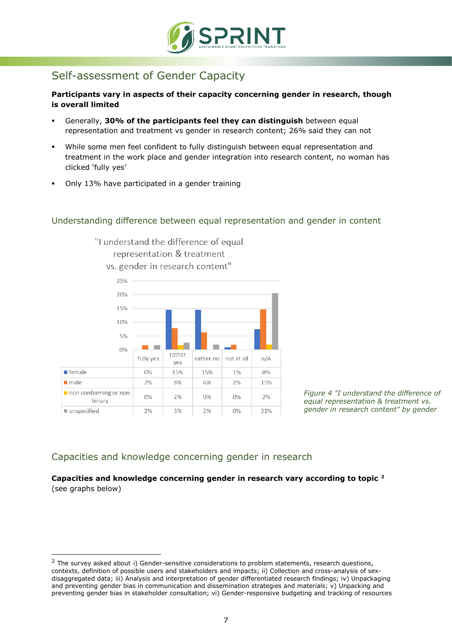

## <span id="page-6-0"></span>Self-assessment of Gender Capacity

**Participants vary in aspects of their capacity concerning gender in research, though is overall limited**

- Generally, **30% of the participants feel they can distinguish** between equal representation and treatment vs gender in research content; 26% said they can not
- While some men feel confident to fully distinguish between equal representation and treatment in the work place and gender integration into research content, no woman has clicked 'fully yes'
- Only 13% have participated in a gender training

#### <span id="page-6-1"></span>Understanding difference between equal representation and gender in content



"I understand the difference of equal

*Figure 4 "I understand the difference of equal representation & treatment vs.* 

*gender in research content" by gender*

### <span id="page-6-2"></span>Capacities and knowledge concerning gender in research

#### **Capacities and knowledge concerning gender in research vary according to topic [2](#page-6-3)** (see graphs below)

<span id="page-6-3"></span> $<sup>2</sup>$  The survey asked about i) Gender-sensitive considerations to problem statements, research questions,</sup> contexts, definition of possible users and stakeholders and impacts; ii) Collection and cross-analysis of sexdisaggregated data; iii) Analysis and interpretation of gender differentiated research findings; iv) Unpackaging and preventing gender bias in communication and dissemination strategies and materials; v) Unpacking and preventing gender bias in stakeholder consultation; vi) Gender-responsive budgeting and tracking of resources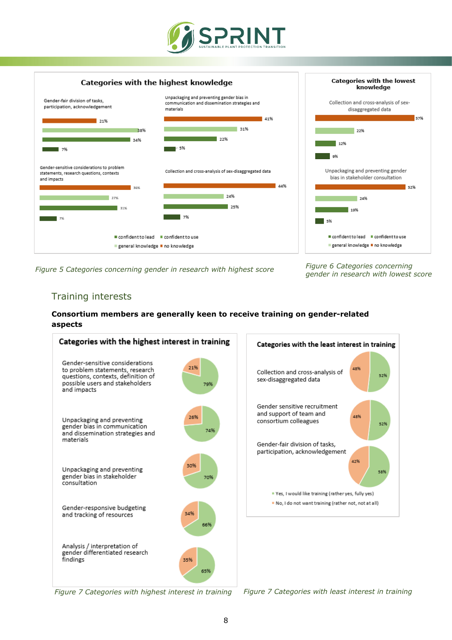



*Figure 5 Categories concerning gender in research with highest score Figure 6 Categories concerning* 

*gender in research with lowest score*

### <span id="page-7-0"></span>Training interests

#### **Consortium members are generally keen to receive training on gender-related aspects**



*Figure 7 Categories with highest interest in training Figure 7 Categories with least interest in training*

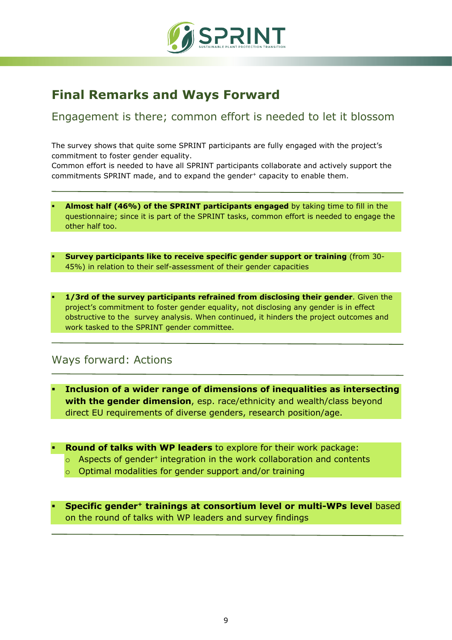

## <span id="page-8-0"></span>**Final Remarks and Ways Forward**

<span id="page-8-1"></span>Engagement is there; common effort is needed to let it blossom

The survey shows that quite some SPRINT participants are fully engaged with the project's commitment to foster gender equality.

Common effort is needed to have all SPRINT participants collaborate and actively support the commitments SPRINT made, and to expand the gender<sup>+</sup> capacity to enable them.

- **Almost half (46%) of the SPRINT participants engaged** by taking time to fill in the questionnaire; since it is part of the SPRINT tasks, common effort is needed to engage the other half too.
- **Survey participants like to receive specific gender support or training** (from 30- 45%) in relation to their self-assessment of their gender capacities
- **1/3rd of the survey participants refrained from disclosing their gender**. Given the project's commitment to foster gender equality, not disclosing any gender is in effect obstructive to the survey analysis. When continued, it hinders the project outcomes and work tasked to the SPRINT gender committee.

## <span id="page-8-2"></span>Ways forward: Actions

- **Inclusion of a wider range of dimensions of inequalities as intersecting with the gender dimension**, esp. race/ethnicity and wealth/class beyond direct EU requirements of diverse genders, research position/age.
- **Round of talks with WP leaders** to explore for their work package:
	- $\circ$  Aspects of gender<sup>+</sup> integration in the work collaboration and contents
	- o Optimal modalities for gender support and/or training
- **Specific gender+ trainings at consortium level or multi-WPs level** based on the round of talks with WP leaders and survey findings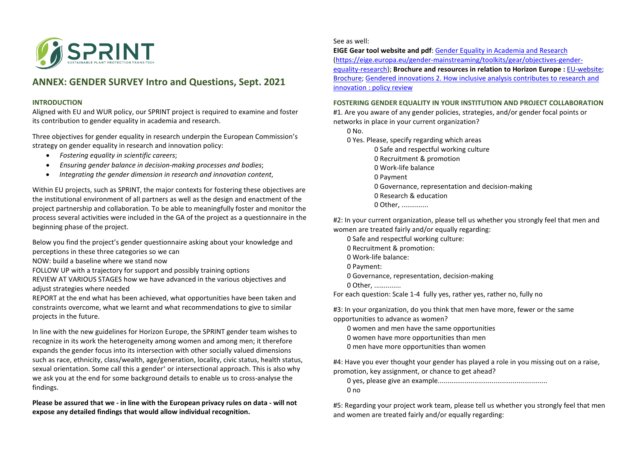

### **ANNEX: GENDER SURVEY Intro and Questions, Sept. 2021**

#### **INTRODUCTION**

Aligned with EU and WUR policy, our SPRINT project is required to examine and foster its contribution to gender equality in academia and research.

Three objectives for gender equality in research underpin the European Commission's strategy on gender equality in research and innovation policy:

- *Fostering equality in scientific careers*;
- *Ensuring gender balance in decision-making processes and bodies*;
- <span id="page-9-0"></span>• *Integrating the gender dimension in research and innovation content*,

Within EU projects, such as SPRINT, the major contexts for fostering these objectives are the institutional environment of all partners as well as the design and enactment of the project partnership and collaboration. To be able to meaningfully foster and monitor the process several activities were included in the GA of the project as a questionnaire in the beginning phase of the project.

Below you find the project's gender questionnaire asking about your knowledge and perceptions in these three categories so we can

NOW: build a baseline where we stand now

FOLLOW UP with a trajectory for support and possibly training options

REVIEW AT VARIOUS STAGES how we have advanced in the various objectives and adjust strategies where needed

REPORT at the end what has been achieved, what opportunities have been taken and constraints overcome, what we learnt and what recommendations to give to similar projects in the future.

In line with the new guidelines for Horizon Europe, the SPRINT gender team wishes to recognize in its work the heterogeneity among women and among men; it therefore expands the gender focus into its intersection with other socially valued dimensions such as race, ethnicity, class/wealth, age/generation, locality, civic status, health status, sexual orientation. Some call this a gender<sup>+</sup> or intersectional approach. This is also why we ask you at the end for some background details to enable us to cross-analyse the findings.

**Please be assured that we - in line with the European privacy rules on data - will not expose any detailed findings that would allow individual recognition.**

See as well:

**EIGE Gear tool website and pdf**[: Gender Equality in Academia and Research](https://eige.europa.eu/gender-mainstreaming/toolkits/gear/objectives-gender-equality-research) [\(https://eige.europa.eu/gender-mainstreaming/toolkits/gear/objectives-gender](https://eige.europa.eu/gender-mainstreaming/toolkits/gear/objectives-gender-equality-research)[equality-research\)](https://eige.europa.eu/gender-mainstreaming/toolkits/gear/objectives-gender-equality-research); **Brochure and resources in relation to Horizon Europe :** [EU-website;](https://ec.europa.eu/info/research-and-innovation/strategy/gender-equality-research-and-innovation_en) [Brochure;](https://op.europa.eu/en/web/eu-law-and-publications/publication-detail/-/publication/c0b30b4b-6ce2-11eb-aeb5-01aa75ed71a1) [Gendered innovations 2. How inclusive analysis contributes to research and](https://op.europa.eu/en/publication-detail/-/publication/33b4c99f-2e66-11eb-b27b-01aa75ed71a1/language-en)  [innovation : policy review](https://op.europa.eu/en/publication-detail/-/publication/33b4c99f-2e66-11eb-b27b-01aa75ed71a1/language-en)

#### **FOSTERING GENDER EQUALITY IN YOUR INSTITUTION AND PROJECT COLLABORATION**

#1. Are you aware of any gender policies, strategies, and/or gender focal points or networks in place in your current organization?

0 No.

0 Yes. Please, specify regarding which areas

0 Safe and respectful working culture 0 Recruitment & promotion 0 Work-life balance 0 Payment 0 Governance, representation and decision-making 0 Research & education  $0$  Other

#2: In your current organization, please tell us whether you strongly feel that men and women are treated fairly and/or equally regarding:

- 0 Safe and respectful working culture:
- 0 Recruitment & promotion:
- 0 Work-life balance:
- 0 Payment:
- 0 Governance, representation, decision-making
- 0 Other, ..............

For each question: Scale 1-4 fully yes, rather yes, rather no, fully no

#3: In your organization, do you think that men have more, fewer or the same opportunities to advance as women?

- 0 women and men have the same opportunities
- 0 women have more opportunities than men
- 0 men have more opportunities than women

#4: Have you ever thought your gender has played a role in you missing out on a raise, promotion, key assignment, or chance to get ahead?

0 yes, please give an example......................................................... 0 no

#5: Regarding your project work team, please tell us whether you strongly feel that men and women are treated fairly and/or equally regarding: